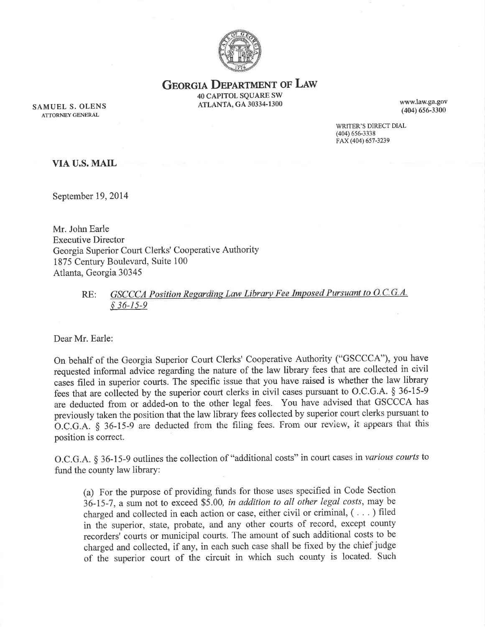

**GEORGIA DEPARTMENT OF LAW** 

40 CAPITOL SQUARE SW ATLANTA, GA 30334-1300<br>
(404) 656-3300

SAMUEL S. OLENS ATLANTA, GA 30334-1300 (404) 656-3300 ATTORNEY GENERAL

WRITER'S DIRECT DIAL (404) 6s6-3338 FAX (404) 657-323e

VIA U.S. MAIL

September 19,2014

Mr. John Earle Executive Director Georgia Superior Court Clerks' Cooperative Authority 1875 Century Boulevard, Suite 100 Atlanta, Georgia 30345

> GSCCCA Position Regarding Law Library Fee Imposed Pursuant to O.C.G.A. RE:  $§$  36-15-9

Dear Mr. Earle:

On behalf of the Georgia Superior Court Clerks' Cooperative Authority ("GSCCCA"), you have requested informal advice regarding the nature of the law library fees that are collected in civil cases filed in superior courts. The specific issue that you have raised is whether the law library fees that are collected by the superior court clerks in civil cases pursuant to O.C.G.A. \$ 36-15-9 are deducted from or added-on to the other legal fees. You have advised that GSCCCA has previously taken the position that the law library fees collected by superior court clerks pursuant to  $O.C.G.A. § 36-15-9$  are deducted from the filing fees. From our review, it appears that this position is correct.

O.C.G.A. § 36-15-9 outlines the collection of "additional costs" in court cases in various courts to fund the county law library:

(a) For the purpose of providing funds for those uses specified in Code Section 36-15-7 , a sum not to exceed \$5.00, in addition to qll other legal costs, may be charged and collected in each action or case, either civil or criminal, ( . . . ) filed in the superior, state, probate, and any other courts of record, except county recorders' courts or municipal courts. The amount of such additional costs to be charged and collected, if any, in each such case shall be fixed by the chief judge of the superior court of the circuit in which such county is located. Such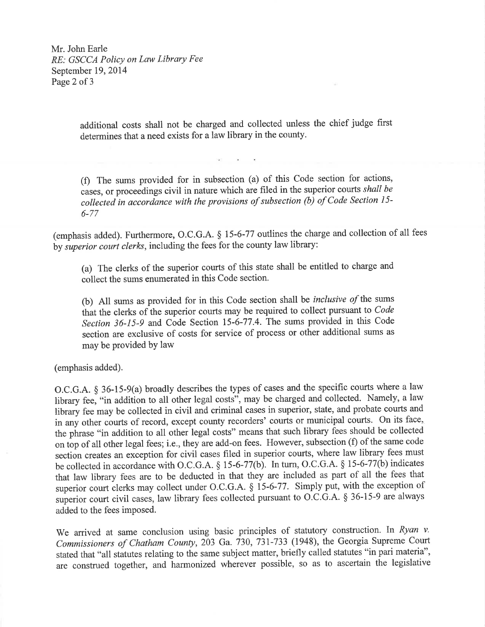Mr. John Earle RE: GSCCA Policy on Law Library Fee September 19,2014 Page 2 of 3

> additional costs shall not be charged and collected unless the chief judge first determines that aneed exists for a law library in the county.

> (Ð The sums provided for in subsection (a) of this Code section for actions, cases, or proceedings civil in nature which are filed in the superior courts shall be collected in accordance with the provisions of subsection  $\overrightarrow{b}$  of Code Section 15-6-77

(emphasis added). Furthermore, O.C.G.A. 5 15-6-77 outlines the charge and collection of all fees by superior court clerks, including the fees for the county law library:

(a) The clerks of the superior courts of this state shall be entitled to charge and collect the sums enumerated in this Code section.

(b) All sums as provided for in this Code section shall be *inclusive of* the sums that the clerks of the superior courts may be required to collect pursuant to Code Section 36-15-9 and Code Section 15-6-77.4. The sums provided in this Code section are exclusive of costs for service of process or other additional sums as may be provided by law

(emphasis added).

O.C.G.A. \$ 36-15-9(a) broadly describes the types of cases and the specific courts where a law library fee, "in addition to all other legal costs", may be charged and collected. Namely, a law library fee may be collected in civil and criminal cases in superior, state, and probate courts and in any other courts of record, except county recorders' courts or municipal courts. On its face, the phrase "in addition to all other legal costs" means that such library fees should be collected on top of all other legal fees; i.e., they are add-on fees. However, subsection (f) of the same code section creates an exception for civil cases filed in superior courts, where law library fees must be collected in accordance with O.C.G.A. \$ 15-6-77(b). In turn, O.C.G.A. \$ 15-6-77(b) indicates that law library fees are to be deducted in that they are included as part of all the fees that superior court clerks may collect under O.C.G.A. § 15-6-77. Simply put, with the exception of superior court civil cases, law library fees collected pursuant to O.C.G.A. \$ 36-15-9 are always added to the fees imposed.

We arrived at same conclusion using basic principles of statutory construction. In Ryan v. Commissioners of Chatham County, 203 Ga. 730, 731-733 (1948), the Georgia Supreme Court stated that "all statutes relating to the same subject matter, briefly called statutes "in pari materia", are construed together, and harmonized wherever possible, so as to ascertain the legislative